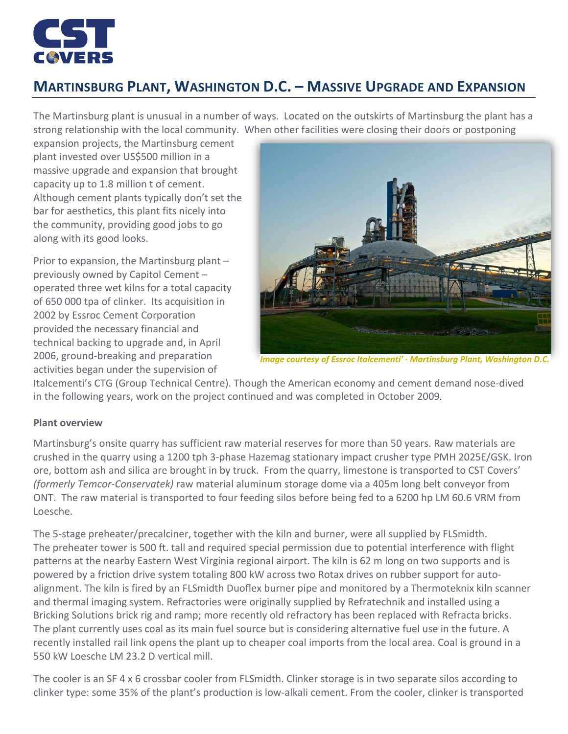

## **MARTINSBURG PLANT, WASHINGTON D.C. – MASSIVE UPGRADE AND EXPANSION**

The Martinsburg plant is unusual in a number of ways. Located on the outskirts of Martinsburg the plant has a strong relationship with the local community. When other facilities were closing their doors or postponing

expansion projects, the Martinsburg cement plant invested over US\$500 million in a massive upgrade and expansion that brought capacity up to 1.8 million t of cement. Although cement plants typically don't set the bar for aesthetics, this plant fits nicely into the community, providing good jobs to go along with its good looks.

Prior to expansion, the Martinsburg plant – previously owned by Capitol Cement – operated three wet kilns for a total capacity of 650 000 tpa of clinker. Its acquisition in 2002 by Essroc Cement Corporation provided the necessary financial and technical backing to upgrade and, in April 2006, ground-breaking and preparation activities began under the supervision of



*Image courtesy of Essroc Italcementi' - Martinsburg Plant, Washington D.C.*

Italcementi's CTG (Group Technical Centre). Though the American economy and cement demand nose-dived in the following years, work on the project continued and was completed in October 2009.

## **Plant overview**

Martinsburg's onsite quarry has sufficient raw material reserves for more than 50 years. Raw materials are crushed in the quarry using a 1200 tph 3-phase Hazemag stationary impact crusher type PMH 2025E/GSK. Iron ore, bottom ash and silica are brought in by truck. From the quarry, limestone is transported to CST Covers' *(formerly Temcor-Conservatek)* raw material aluminum storage dome via a 405m long belt conveyor from ONT. The raw material is transported to four feeding silos before being fed to a 6200 hp LM 60.6 VRM from Loesche.

The 5-stage preheater/precalciner, together with the kiln and burner, were all supplied by FLSmidth. The preheater tower is 500 ft. tall and required special permission due to potential interference with flight patterns at the nearby Eastern West Virginia regional airport. The kiln is 62 m long on two supports and is powered by a friction drive system totaling 800 kW across two Rotax drives on rubber support for autoalignment. The kiln is fired by an FLSmidth Duoflex burner pipe and monitored by a Thermoteknix kiln scanner and thermal imaging system. Refractories were originally supplied by Refratechnik and installed using a Bricking Solutions brick rig and ramp; more recently old refractory has been replaced with Refracta bricks. The plant currently uses coal as its main fuel source but is considering alternative fuel use in the future. A recently installed rail link opens the plant up to cheaper coal imports from the local area. Coal is ground in a 550 kW Loesche LM 23.2 D vertical mill.

The cooler is an SF 4 x 6 crossbar cooler from FLSmidth. Clinker storage is in two separate silos according to clinker type: some 35% of the plant's production is low-alkali cement. From the cooler, clinker is transported